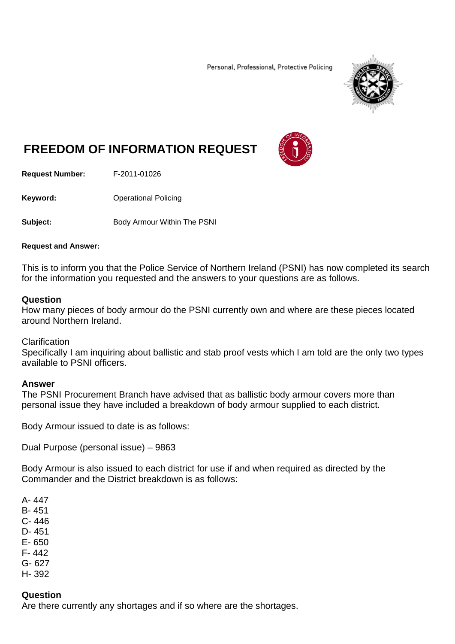Personal, Professional, Protective Policing



# **FREEDOM OF INFORMATION REQUEST**



**Request Number:** F-2011-01026

**Keyword: C**Derational Policing

**Subject:** Body Armour Within The PSNI

#### **Request and Answer:**

This is to inform you that the Police Service of Northern Ireland (PSNI) has now completed its search for the information you requested and the answers to your questions are as follows.

## **Question**

How many pieces of body armour do the PSNI currently own and where are these pieces located around Northern Ireland.

#### **Clarification**

Specifically I am inquiring about ballistic and stab proof vests which I am told are the only two types available to PSNI officers.

# **Answer**

The PSNI Procurement Branch have advised that as ballistic body armour covers more than personal issue they have included a breakdown of body armour supplied to each district.

Body Armour issued to date is as follows:

Dual Purpose (personal issue) – 9863

Body Armour is also issued to each district for use if and when required as directed by the Commander and the District breakdown is as follows:

- A- 447 B- 451 C- 446 D- 451
- 
- E- 650 F- 442
- 
- G- 627 H- 392

#### **Question**

Are there currently any shortages and if so where are the shortages.